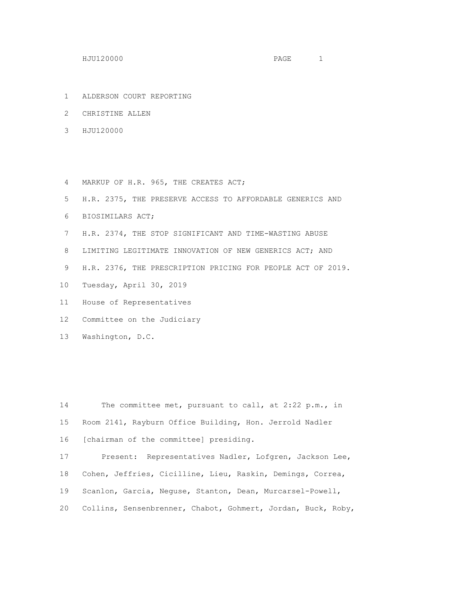- ALDERSON COURT REPORTING
- CHRISTINE ALLEN
- HJU120000
- MARKUP OF H.R. 965, THE CREATES ACT;
- H.R. 2375, THE PRESERVE ACCESS TO AFFORDABLE GENERICS AND
- BIOSIMILARS ACT;
- H.R. 2374, THE STOP SIGNIFICANT AND TIME-WASTING ABUSE
- 8 LIMITING LEGITIMATE INNOVATION OF NEW GENERICS ACT; AND
- H.R. 2376, THE PRESCRIPTION PRICING FOR PEOPLE ACT OF 2019.
- Tuesday, April 30, 2019
- House of Representatives
- Committee on the Judiciary
- Washington, D.C.

 The committee met, pursuant to call, at 2:22 p.m., in Room 2141, Rayburn Office Building, Hon. Jerrold Nadler [chairman of the committee] presiding. Present: Representatives Nadler, Lofgren, Jackson Lee, Cohen, Jeffries, Cicilline, Lieu, Raskin, Demings, Correa, Scanlon, Garcia, Neguse, Stanton, Dean, Murcarsel-Powell, Collins, Sensenbrenner, Chabot, Gohmert, Jordan, Buck, Roby,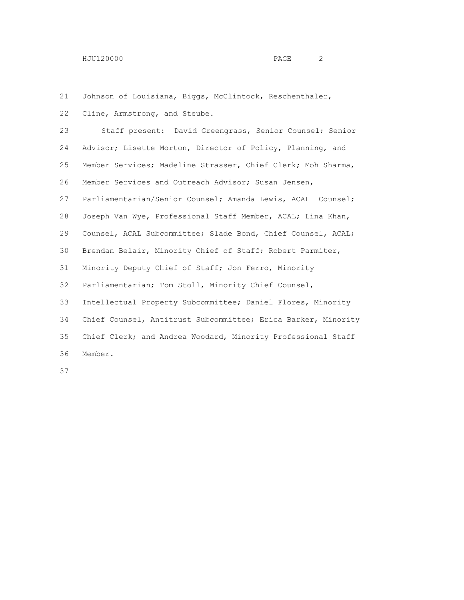Johnson of Louisiana, Biggs, McClintock, Reschenthaler,

Cline, Armstrong, and Steube.

 Staff present: David Greengrass, Senior Counsel; Senior Advisor; Lisette Morton, Director of Policy, Planning, and Member Services; Madeline Strasser, Chief Clerk; Moh Sharma, Member Services and Outreach Advisor; Susan Jensen, Parliamentarian/Senior Counsel; Amanda Lewis, ACAL Counsel; Joseph Van Wye, Professional Staff Member, ACAL; Lina Khan, Counsel, ACAL Subcommittee; Slade Bond, Chief Counsel, ACAL; Brendan Belair, Minority Chief of Staff; Robert Parmiter, Minority Deputy Chief of Staff; Jon Ferro, Minority Parliamentarian; Tom Stoll, Minority Chief Counsel, Intellectual Property Subcommittee; Daniel Flores, Minority Chief Counsel, Antitrust Subcommittee; Erica Barker, Minority Chief Clerk; and Andrea Woodard, Minority Professional Staff Member.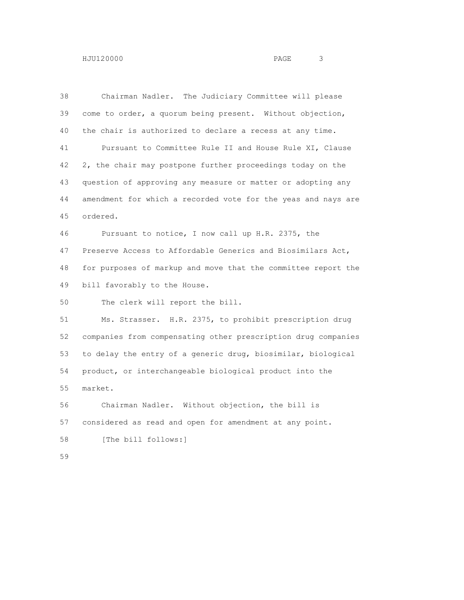| HJU120000 | PAGE | ີ |  |
|-----------|------|---|--|
|           |      |   |  |

| 38 | Chairman Nadler. The Judiciary Committee will please          |
|----|---------------------------------------------------------------|
| 39 | come to order, a quorum being present. Without objection,     |
| 40 | the chair is authorized to declare a recess at any time.      |
| 41 | Pursuant to Committee Rule II and House Rule XI, Clause       |
| 42 | 2, the chair may postpone further proceedings today on the    |
| 43 | question of approving any measure or matter or adopting any   |
| 44 | amendment for which a recorded vote for the yeas and nays are |
| 45 | ordered.                                                      |
| 46 | Pursuant to notice, I now call up H.R. 2375, the              |
| 47 | Preserve Access to Affordable Generics and Biosimilars Act,   |
| 48 | for purposes of markup and move that the committee report the |
| 49 | bill favorably to the House.                                  |
| 50 | The clerk will report the bill.                               |
| 51 | Ms. Strasser. H.R. 2375, to prohibit prescription drug        |
| 52 | companies from compensating other prescription drug companies |
| 53 | to delay the entry of a generic drug, biosimilar, biological  |
| 54 | product, or interchangeable biological product into the       |
| 55 | market.                                                       |
| 56 | Chairman Nadler. Without objection, the bill is               |
| 57 | considered as read and open for amendment at any point.       |
| 58 | [The bill follows:]                                           |
| 59 |                                                               |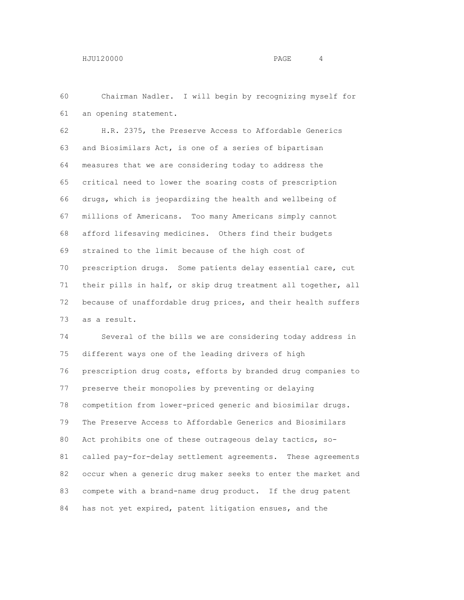Chairman Nadler. I will begin by recognizing myself for an opening statement.

 H.R. 2375, the Preserve Access to Affordable Generics and Biosimilars Act, is one of a series of bipartisan measures that we are considering today to address the critical need to lower the soaring costs of prescription drugs, which is jeopardizing the health and wellbeing of millions of Americans. Too many Americans simply cannot afford lifesaving medicines. Others find their budgets strained to the limit because of the high cost of prescription drugs. Some patients delay essential care, cut their pills in half, or skip drug treatment all together, all because of unaffordable drug prices, and their health suffers as a result.

 Several of the bills we are considering today address in different ways one of the leading drivers of high prescription drug costs, efforts by branded drug companies to preserve their monopolies by preventing or delaying competition from lower-priced generic and biosimilar drugs. The Preserve Access to Affordable Generics and Biosimilars Act prohibits one of these outrageous delay tactics, so- called pay-for-delay settlement agreements. These agreements occur when a generic drug maker seeks to enter the market and compete with a brand-name drug product. If the drug patent has not yet expired, patent litigation ensues, and the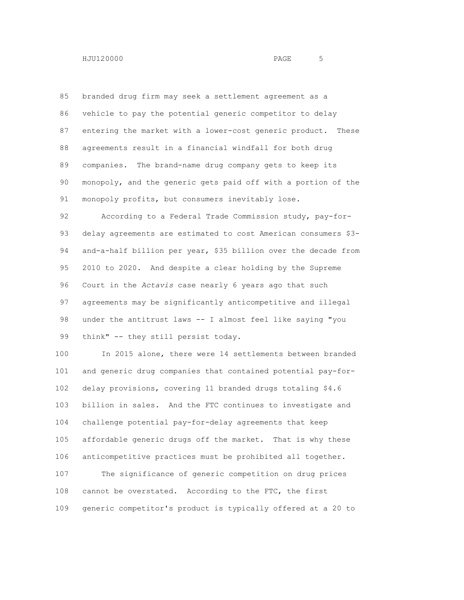branded drug firm may seek a settlement agreement as a vehicle to pay the potential generic competitor to delay entering the market with a lower-cost generic product. These agreements result in a financial windfall for both drug companies. The brand-name drug company gets to keep its monopoly, and the generic gets paid off with a portion of the 91 monopoly profits, but consumers inevitably lose.

 According to a Federal Trade Commission study, pay-for- delay agreements are estimated to cost American consumers \$3- and-a-half billion per year, \$35 billion over the decade from 2010 to 2020. And despite a clear holding by the Supreme Court in the *Actavis* case nearly 6 years ago that such agreements may be significantly anticompetitive and illegal under the antitrust laws -- I almost feel like saying "you 99 think" -- they still persist today.

 In 2015 alone, there were 14 settlements between branded and generic drug companies that contained potential pay-for- delay provisions, covering 11 branded drugs totaling \$4.6 billion in sales. And the FTC continues to investigate and challenge potential pay-for-delay agreements that keep affordable generic drugs off the market. That is why these anticompetitive practices must be prohibited all together. The significance of generic competition on drug prices cannot be overstated. According to the FTC, the first generic competitor's product is typically offered at a 20 to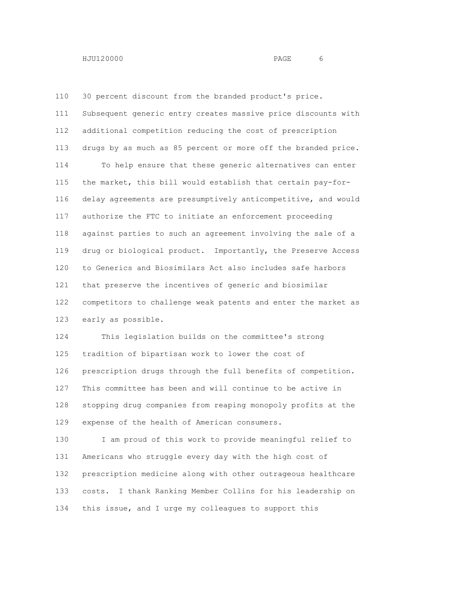30 percent discount from the branded product's price. Subsequent generic entry creates massive price discounts with additional competition reducing the cost of prescription drugs by as much as 85 percent or more off the branded price. To help ensure that these generic alternatives can enter the market, this bill would establish that certain pay-for- delay agreements are presumptively anticompetitive, and would authorize the FTC to initiate an enforcement proceeding against parties to such an agreement involving the sale of a drug or biological product. Importantly, the Preserve Access to Generics and Biosimilars Act also includes safe harbors that preserve the incentives of generic and biosimilar competitors to challenge weak patents and enter the market as early as possible.

 This legislation builds on the committee's strong tradition of bipartisan work to lower the cost of prescription drugs through the full benefits of competition. This committee has been and will continue to be active in stopping drug companies from reaping monopoly profits at the expense of the health of American consumers.

 I am proud of this work to provide meaningful relief to Americans who struggle every day with the high cost of prescription medicine along with other outrageous healthcare costs. I thank Ranking Member Collins for his leadership on this issue, and I urge my colleagues to support this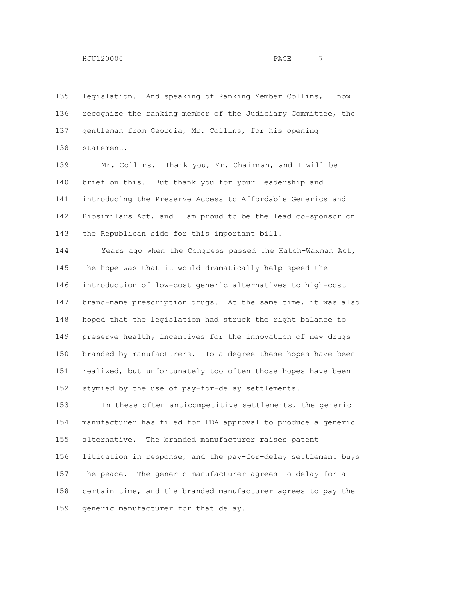legislation. And speaking of Ranking Member Collins, I now recognize the ranking member of the Judiciary Committee, the gentleman from Georgia, Mr. Collins, for his opening statement.

 Mr. Collins. Thank you, Mr. Chairman, and I will be brief on this. But thank you for your leadership and introducing the Preserve Access to Affordable Generics and Biosimilars Act, and I am proud to be the lead co-sponsor on the Republican side for this important bill.

 Years ago when the Congress passed the Hatch-Waxman Act, the hope was that it would dramatically help speed the introduction of low-cost generic alternatives to high-cost brand-name prescription drugs. At the same time, it was also hoped that the legislation had struck the right balance to preserve healthy incentives for the innovation of new drugs branded by manufacturers. To a degree these hopes have been realized, but unfortunately too often those hopes have been stymied by the use of pay-for-delay settlements.

 In these often anticompetitive settlements, the generic manufacturer has filed for FDA approval to produce a generic alternative. The branded manufacturer raises patent litigation in response, and the pay-for-delay settlement buys the peace. The generic manufacturer agrees to delay for a certain time, and the branded manufacturer agrees to pay the generic manufacturer for that delay.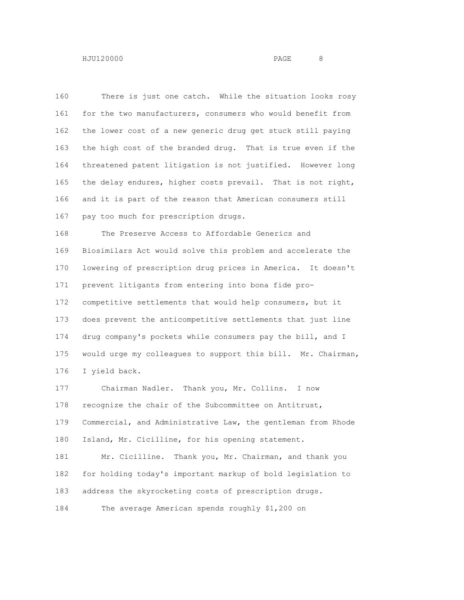There is just one catch. While the situation looks rosy for the two manufacturers, consumers who would benefit from the lower cost of a new generic drug get stuck still paying the high cost of the branded drug. That is true even if the threatened patent litigation is not justified. However long the delay endures, higher costs prevail. That is not right, and it is part of the reason that American consumers still pay too much for prescription drugs. The Preserve Access to Affordable Generics and Biosimilars Act would solve this problem and accelerate the lowering of prescription drug prices in America. It doesn't prevent litigants from entering into bona fide pro- competitive settlements that would help consumers, but it does prevent the anticompetitive settlements that just line drug company's pockets while consumers pay the bill, and I would urge my colleagues to support this bill. Mr. Chairman, I yield back. Chairman Nadler. Thank you, Mr. Collins. I now

 recognize the chair of the Subcommittee on Antitrust, Commercial, and Administrative Law, the gentleman from Rhode Island, Mr. Cicilline, for his opening statement.

 Mr. Cicilline. Thank you, Mr. Chairman, and thank you for holding today's important markup of bold legislation to address the skyrocketing costs of prescription drugs.

The average American spends roughly \$1,200 on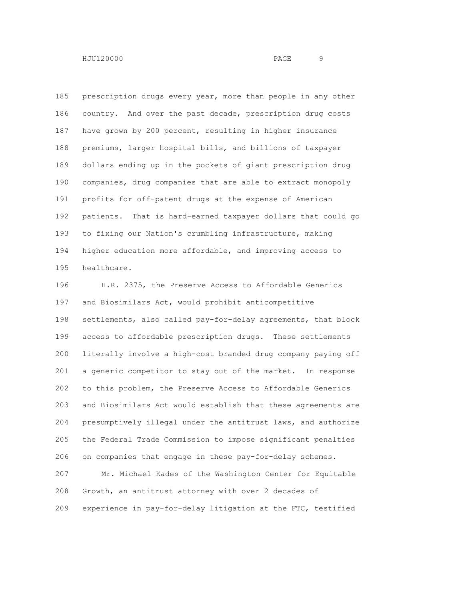prescription drugs every year, more than people in any other country. And over the past decade, prescription drug costs have grown by 200 percent, resulting in higher insurance premiums, larger hospital bills, and billions of taxpayer dollars ending up in the pockets of giant prescription drug companies, drug companies that are able to extract monopoly profits for off-patent drugs at the expense of American patients. That is hard-earned taxpayer dollars that could go to fixing our Nation's crumbling infrastructure, making higher education more affordable, and improving access to healthcare.

 H.R. 2375, the Preserve Access to Affordable Generics and Biosimilars Act, would prohibit anticompetitive settlements, also called pay-for-delay agreements, that block access to affordable prescription drugs. These settlements literally involve a high-cost branded drug company paying off a generic competitor to stay out of the market. In response to this problem, the Preserve Access to Affordable Generics and Biosimilars Act would establish that these agreements are presumptively illegal under the antitrust laws, and authorize the Federal Trade Commission to impose significant penalties on companies that engage in these pay-for-delay schemes. Mr. Michael Kades of the Washington Center for Equitable Growth, an antitrust attorney with over 2 decades of experience in pay-for-delay litigation at the FTC, testified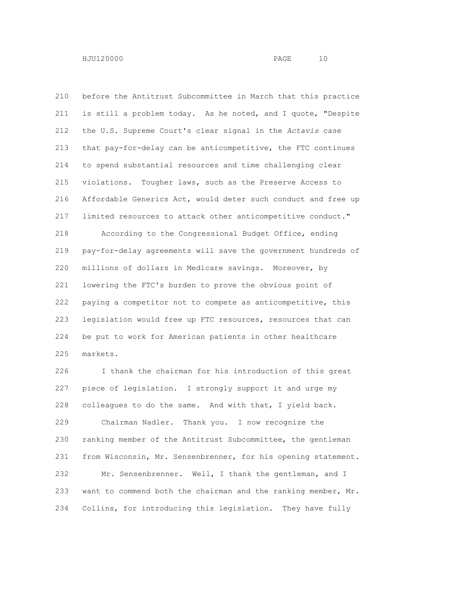before the Antitrust Subcommittee in March that this practice is still a problem today. As he noted, and I quote, "Despite the U.S. Supreme Court's clear signal in the *Actavis* case that pay-for-delay can be anticompetitive, the FTC continues to spend substantial resources and time challenging clear violations. Tougher laws, such as the Preserve Access to Affordable Generics Act, would deter such conduct and free up limited resources to attack other anticompetitive conduct." According to the Congressional Budget Office, ending pay-for-delay agreements will save the government hundreds of millions of dollars in Medicare savings. Moreover, by lowering the FTC's burden to prove the obvious point of paying a competitor not to compete as anticompetitive, this legislation would free up FTC resources, resources that can be put to work for American patients in other healthcare markets.

 I thank the chairman for his introduction of this great piece of legislation. I strongly support it and urge my colleagues to do the same. And with that, I yield back. Chairman Nadler. Thank you. I now recognize the ranking member of the Antitrust Subcommittee, the gentleman from Wisconsin, Mr. Sensenbrenner, for his opening statement. Mr. Sensenbrenner. Well, I thank the gentleman, and I want to commend both the chairman and the ranking member, Mr. Collins, for introducing this legislation. They have fully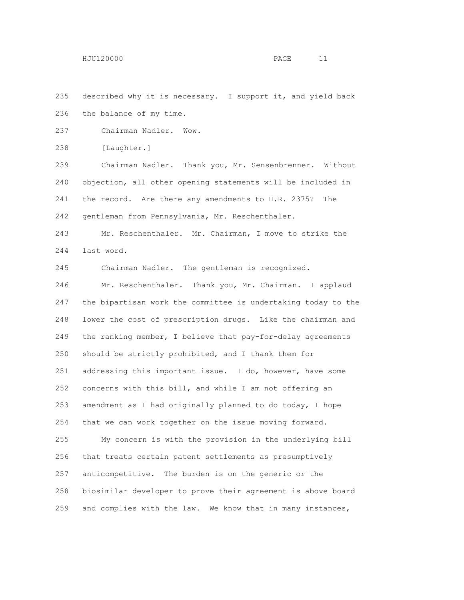described why it is necessary. I support it, and yield back the balance of my time.

Chairman Nadler. Wow.

[Laughter.]

 Chairman Nadler. Thank you, Mr. Sensenbrenner. Without objection, all other opening statements will be included in the record. Are there any amendments to H.R. 2375? The gentleman from Pennsylvania, Mr. Reschenthaler.

 Mr. Reschenthaler. Mr. Chairman, I move to strike the last word.

Chairman Nadler. The gentleman is recognized.

 Mr. Reschenthaler. Thank you, Mr. Chairman. I applaud the bipartisan work the committee is undertaking today to the lower the cost of prescription drugs. Like the chairman and the ranking member, I believe that pay-for-delay agreements should be strictly prohibited, and I thank them for addressing this important issue. I do, however, have some concerns with this bill, and while I am not offering an amendment as I had originally planned to do today, I hope that we can work together on the issue moving forward. My concern is with the provision in the underlying bill

 that treats certain patent settlements as presumptively anticompetitive. The burden is on the generic or the biosimilar developer to prove their agreement is above board and complies with the law. We know that in many instances,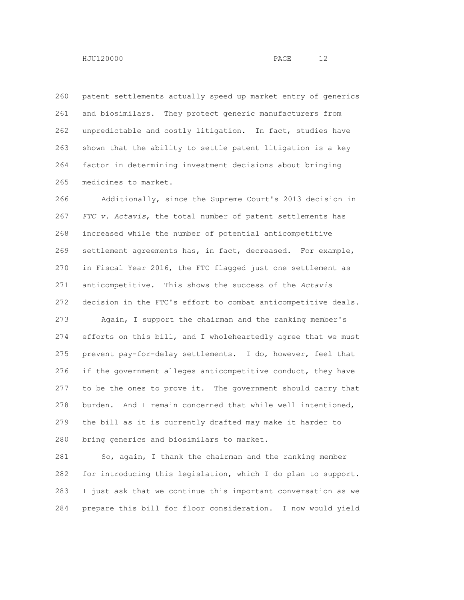patent settlements actually speed up market entry of generics and biosimilars. They protect generic manufacturers from unpredictable and costly litigation. In fact, studies have shown that the ability to settle patent litigation is a key factor in determining investment decisions about bringing

medicines to market.

 Additionally, since the Supreme Court's 2013 decision in *FTC v. Actavis*, the total number of patent settlements has increased while the number of potential anticompetitive settlement agreements has, in fact, decreased. For example, in Fiscal Year 2016, the FTC flagged just one settlement as anticompetitive. This shows the success of the *Actavis* decision in the FTC's effort to combat anticompetitive deals.

 Again, I support the chairman and the ranking member's efforts on this bill, and I wholeheartedly agree that we must prevent pay-for-delay settlements. I do, however, feel that if the government alleges anticompetitive conduct, they have to be the ones to prove it. The government should carry that burden. And I remain concerned that while well intentioned, the bill as it is currently drafted may make it harder to bring generics and biosimilars to market.

 So, again, I thank the chairman and the ranking member for introducing this legislation, which I do plan to support. I just ask that we continue this important conversation as we prepare this bill for floor consideration. I now would yield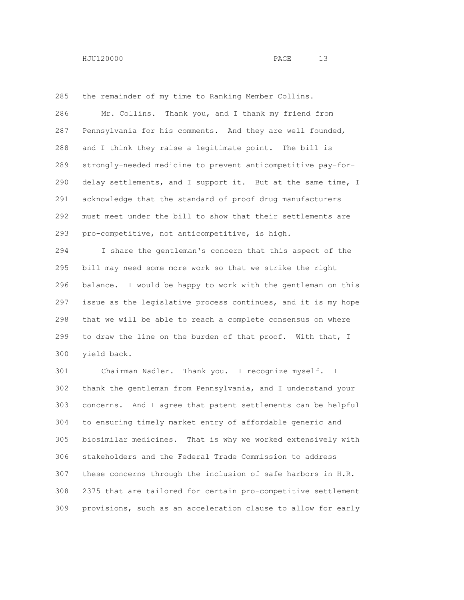the remainder of my time to Ranking Member Collins. Mr. Collins. Thank you, and I thank my friend from Pennsylvania for his comments. And they are well founded, and I think they raise a legitimate point. The bill is strongly-needed medicine to prevent anticompetitive pay-for- delay settlements, and I support it. But at the same time, I acknowledge that the standard of proof drug manufacturers must meet under the bill to show that their settlements are pro-competitive, not anticompetitive, is high.

 I share the gentleman's concern that this aspect of the bill may need some more work so that we strike the right balance. I would be happy to work with the gentleman on this issue as the legislative process continues, and it is my hope that we will be able to reach a complete consensus on where to draw the line on the burden of that proof. With that, I yield back.

 Chairman Nadler. Thank you. I recognize myself. I thank the gentleman from Pennsylvania, and I understand your concerns. And I agree that patent settlements can be helpful to ensuring timely market entry of affordable generic and biosimilar medicines. That is why we worked extensively with stakeholders and the Federal Trade Commission to address these concerns through the inclusion of safe harbors in H.R. 2375 that are tailored for certain pro-competitive settlement provisions, such as an acceleration clause to allow for early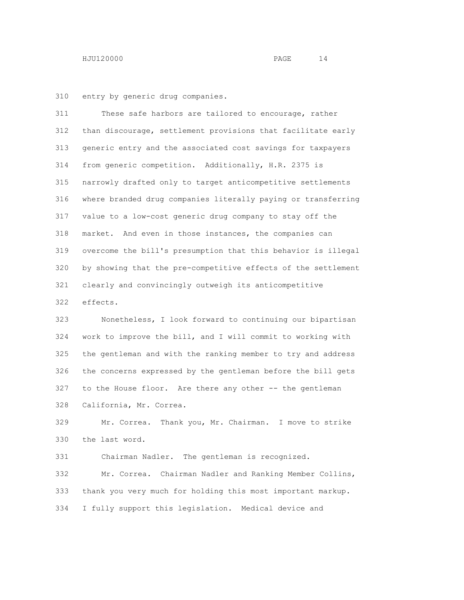entry by generic drug companies.

 These safe harbors are tailored to encourage, rather than discourage, settlement provisions that facilitate early generic entry and the associated cost savings for taxpayers from generic competition. Additionally, H.R. 2375 is narrowly drafted only to target anticompetitive settlements where branded drug companies literally paying or transferring value to a low-cost generic drug company to stay off the market. And even in those instances, the companies can overcome the bill's presumption that this behavior is illegal by showing that the pre-competitive effects of the settlement clearly and convincingly outweigh its anticompetitive effects.

 Nonetheless, I look forward to continuing our bipartisan work to improve the bill, and I will commit to working with the gentleman and with the ranking member to try and address the concerns expressed by the gentleman before the bill gets to the House floor. Are there any other -- the gentleman California, Mr. Correa.

 Mr. Correa. Thank you, Mr. Chairman. I move to strike the last word.

 Chairman Nadler. The gentleman is recognized. Mr. Correa. Chairman Nadler and Ranking Member Collins, thank you very much for holding this most important markup. I fully support this legislation. Medical device and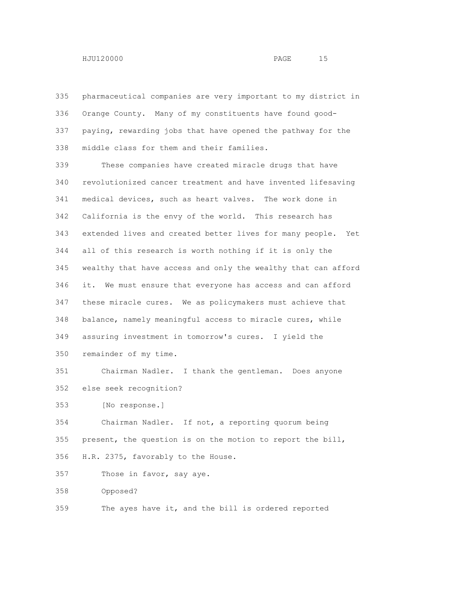pharmaceutical companies are very important to my district in Orange County. Many of my constituents have found good- paying, rewarding jobs that have opened the pathway for the middle class for them and their families.

 These companies have created miracle drugs that have revolutionized cancer treatment and have invented lifesaving medical devices, such as heart valves. The work done in California is the envy of the world. This research has extended lives and created better lives for many people. Yet all of this research is worth nothing if it is only the wealthy that have access and only the wealthy that can afford it. We must ensure that everyone has access and can afford these miracle cures. We as policymakers must achieve that balance, namely meaningful access to miracle cures, while assuring investment in tomorrow's cures. I yield the remainder of my time.

 Chairman Nadler. I thank the gentleman. Does anyone else seek recognition?

[No response.]

 Chairman Nadler. If not, a reporting quorum being present, the question is on the motion to report the bill, H.R. 2375, favorably to the House.

Those in favor, say aye.

Opposed?

The ayes have it, and the bill is ordered reported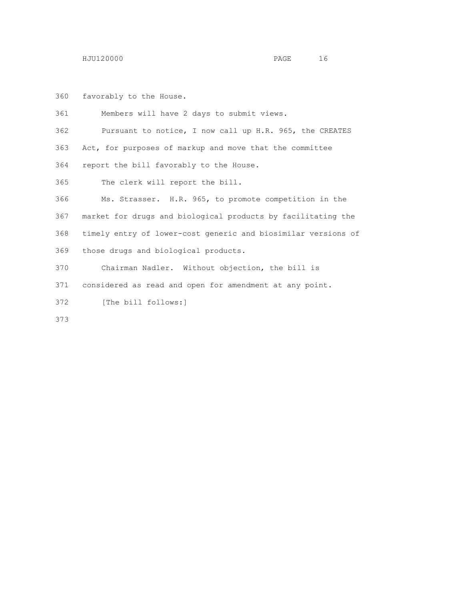favorably to the House.

 Members will have 2 days to submit views. Pursuant to notice, I now call up H.R. 965, the CREATES Act, for purposes of markup and move that the committee report the bill favorably to the House. The clerk will report the bill.

 Ms. Strasser. H.R. 965, to promote competition in the market for drugs and biological products by facilitating the timely entry of lower-cost generic and biosimilar versions of those drugs and biological products.

Chairman Nadler. Without objection, the bill is

considered as read and open for amendment at any point.

[The bill follows:]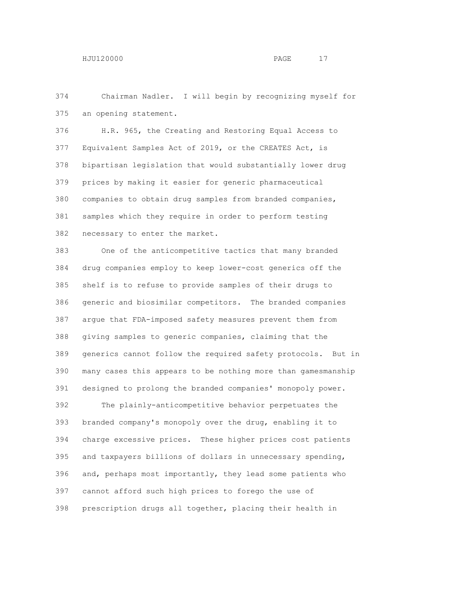Chairman Nadler. I will begin by recognizing myself for an opening statement.

 H.R. 965, the Creating and Restoring Equal Access to Equivalent Samples Act of 2019, or the CREATES Act, is bipartisan legislation that would substantially lower drug prices by making it easier for generic pharmaceutical companies to obtain drug samples from branded companies, samples which they require in order to perform testing necessary to enter the market.

 One of the anticompetitive tactics that many branded drug companies employ to keep lower-cost generics off the shelf is to refuse to provide samples of their drugs to generic and biosimilar competitors. The branded companies argue that FDA-imposed safety measures prevent them from giving samples to generic companies, claiming that the generics cannot follow the required safety protocols. But in many cases this appears to be nothing more than gamesmanship designed to prolong the branded companies' monopoly power.

 The plainly-anticompetitive behavior perpetuates the branded company's monopoly over the drug, enabling it to charge excessive prices. These higher prices cost patients and taxpayers billions of dollars in unnecessary spending, and, perhaps most importantly, they lead some patients who cannot afford such high prices to forego the use of prescription drugs all together, placing their health in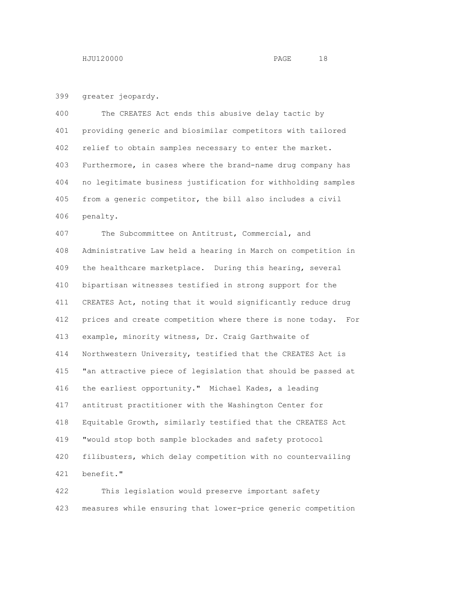greater jeopardy.

 The CREATES Act ends this abusive delay tactic by providing generic and biosimilar competitors with tailored relief to obtain samples necessary to enter the market. Furthermore, in cases where the brand-name drug company has no legitimate business justification for withholding samples from a generic competitor, the bill also includes a civil penalty.

 The Subcommittee on Antitrust, Commercial, and Administrative Law held a hearing in March on competition in the healthcare marketplace. During this hearing, several bipartisan witnesses testified in strong support for the CREATES Act, noting that it would significantly reduce drug prices and create competition where there is none today. For example, minority witness, Dr. Craig Garthwaite of Northwestern University, testified that the CREATES Act is "an attractive piece of legislation that should be passed at the earliest opportunity." Michael Kades, a leading antitrust practitioner with the Washington Center for Equitable Growth, similarly testified that the CREATES Act "would stop both sample blockades and safety protocol filibusters, which delay competition with no countervailing benefit."

 This legislation would preserve important safety measures while ensuring that lower-price generic competition

$$
-1\sqrt{2}
$$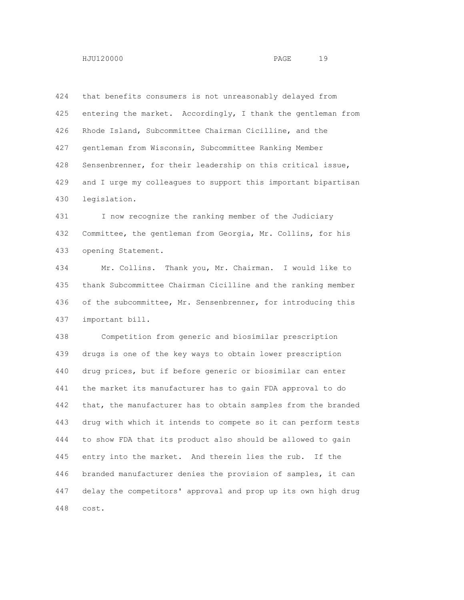that benefits consumers is not unreasonably delayed from entering the market. Accordingly, I thank the gentleman from Rhode Island, Subcommittee Chairman Cicilline, and the gentleman from Wisconsin, Subcommittee Ranking Member Sensenbrenner, for their leadership on this critical issue, and I urge my colleagues to support this important bipartisan legislation.

 I now recognize the ranking member of the Judiciary Committee, the gentleman from Georgia, Mr. Collins, for his opening Statement.

 Mr. Collins. Thank you, Mr. Chairman. I would like to thank Subcommittee Chairman Cicilline and the ranking member of the subcommittee, Mr. Sensenbrenner, for introducing this important bill.

 Competition from generic and biosimilar prescription drugs is one of the key ways to obtain lower prescription drug prices, but if before generic or biosimilar can enter the market its manufacturer has to gain FDA approval to do that, the manufacturer has to obtain samples from the branded drug with which it intends to compete so it can perform tests to show FDA that its product also should be allowed to gain entry into the market. And therein lies the rub. If the branded manufacturer denies the provision of samples, it can delay the competitors' approval and prop up its own high drug cost.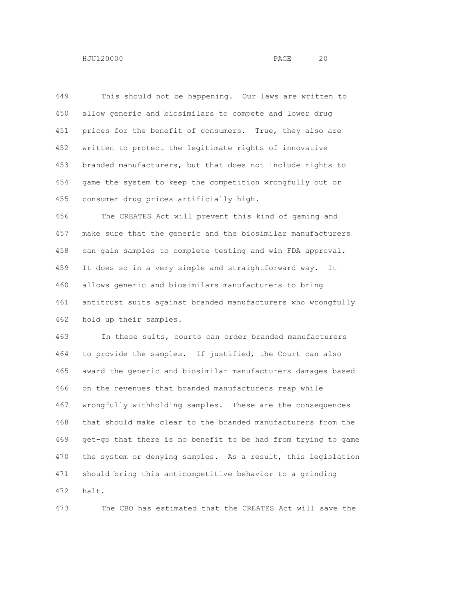This should not be happening. Our laws are written to allow generic and biosimilars to compete and lower drug 451 prices for the benefit of consumers. True, they also are written to protect the legitimate rights of innovative branded manufacturers, but that does not include rights to game the system to keep the competition wrongfully out or

consumer drug prices artificially high.

 The CREATES Act will prevent this kind of gaming and make sure that the generic and the biosimilar manufacturers can gain samples to complete testing and win FDA approval. It does so in a very simple and straightforward way. It allows generic and biosimilars manufacturers to bring antitrust suits against branded manufacturers who wrongfully hold up their samples.

 In these suits, courts can order branded manufacturers to provide the samples. If justified, the Court can also award the generic and biosimilar manufacturers damages based on the revenues that branded manufacturers reap while wrongfully withholding samples. These are the consequences that should make clear to the branded manufacturers from the get-go that there is no benefit to be had from trying to game the system or denying samples. As a result, this legislation should bring this anticompetitive behavior to a grinding halt.

The CBO has estimated that the CREATES Act will save the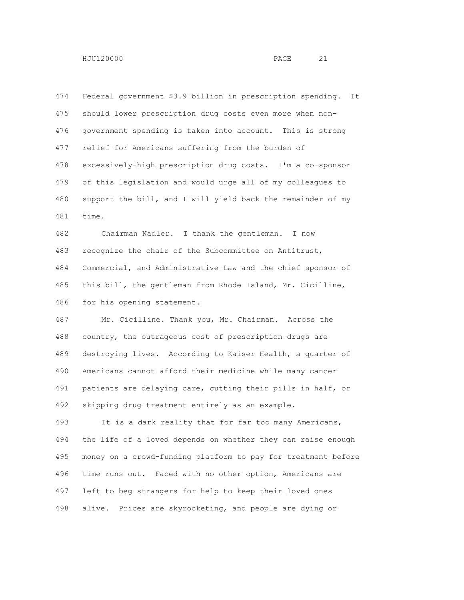Federal government \$3.9 billion in prescription spending. It should lower prescription drug costs even more when non- government spending is taken into account. This is strong relief for Americans suffering from the burden of excessively-high prescription drug costs. I'm a co-sponsor of this legislation and would urge all of my colleagues to support the bill, and I will yield back the remainder of my time.

 Chairman Nadler. I thank the gentleman. I now recognize the chair of the Subcommittee on Antitrust, Commercial, and Administrative Law and the chief sponsor of this bill, the gentleman from Rhode Island, Mr. Cicilline, for his opening statement.

 Mr. Cicilline. Thank you, Mr. Chairman. Across the country, the outrageous cost of prescription drugs are destroying lives. According to Kaiser Health, a quarter of Americans cannot afford their medicine while many cancer patients are delaying care, cutting their pills in half, or skipping drug treatment entirely as an example.

 It is a dark reality that for far too many Americans, the life of a loved depends on whether they can raise enough money on a crowd-funding platform to pay for treatment before time runs out. Faced with no other option, Americans are left to beg strangers for help to keep their loved ones alive. Prices are skyrocketing, and people are dying or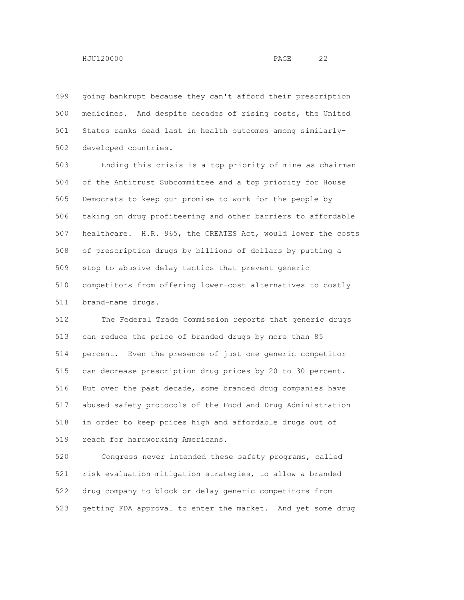going bankrupt because they can't afford their prescription medicines. And despite decades of rising costs, the United States ranks dead last in health outcomes among similarly-developed countries.

 Ending this crisis is a top priority of mine as chairman of the Antitrust Subcommittee and a top priority for House Democrats to keep our promise to work for the people by taking on drug profiteering and other barriers to affordable healthcare. H.R. 965, the CREATES Act, would lower the costs of prescription drugs by billions of dollars by putting a stop to abusive delay tactics that prevent generic competitors from offering lower-cost alternatives to costly brand-name drugs.

 The Federal Trade Commission reports that generic drugs can reduce the price of branded drugs by more than 85 percent. Even the presence of just one generic competitor can decrease prescription drug prices by 20 to 30 percent. But over the past decade, some branded drug companies have abused safety protocols of the Food and Drug Administration in order to keep prices high and affordable drugs out of reach for hardworking Americans.

 Congress never intended these safety programs, called risk evaluation mitigation strategies, to allow a branded drug company to block or delay generic competitors from getting FDA approval to enter the market. And yet some drug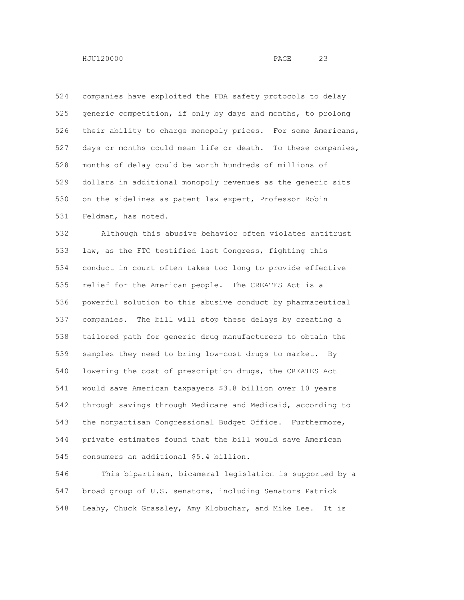companies have exploited the FDA safety protocols to delay generic competition, if only by days and months, to prolong their ability to charge monopoly prices. For some Americans, days or months could mean life or death. To these companies, months of delay could be worth hundreds of millions of dollars in additional monopoly revenues as the generic sits on the sidelines as patent law expert, Professor Robin Feldman, has noted.

 Although this abusive behavior often violates antitrust law, as the FTC testified last Congress, fighting this conduct in court often takes too long to provide effective relief for the American people. The CREATES Act is a powerful solution to this abusive conduct by pharmaceutical companies. The bill will stop these delays by creating a tailored path for generic drug manufacturers to obtain the samples they need to bring low-cost drugs to market. By lowering the cost of prescription drugs, the CREATES Act would save American taxpayers \$3.8 billion over 10 years through savings through Medicare and Medicaid, according to the nonpartisan Congressional Budget Office. Furthermore, private estimates found that the bill would save American consumers an additional \$5.4 billion.

 This bipartisan, bicameral legislation is supported by a broad group of U.S. senators, including Senators Patrick Leahy, Chuck Grassley, Amy Klobuchar, and Mike Lee. It is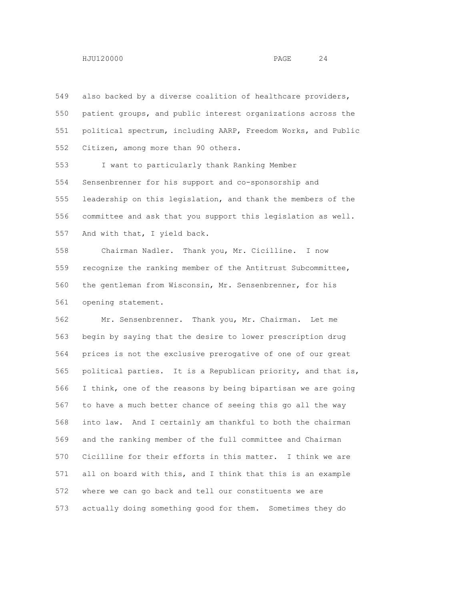also backed by a diverse coalition of healthcare providers, patient groups, and public interest organizations across the political spectrum, including AARP, Freedom Works, and Public Citizen, among more than 90 others.

 I want to particularly thank Ranking Member Sensenbrenner for his support and co-sponsorship and leadership on this legislation, and thank the members of the committee and ask that you support this legislation as well. And with that, I yield back.

 Chairman Nadler. Thank you, Mr. Cicilline. I now recognize the ranking member of the Antitrust Subcommittee, the gentleman from Wisconsin, Mr. Sensenbrenner, for his opening statement.

 Mr. Sensenbrenner. Thank you, Mr. Chairman. Let me begin by saying that the desire to lower prescription drug prices is not the exclusive prerogative of one of our great political parties. It is a Republican priority, and that is, I think, one of the reasons by being bipartisan we are going to have a much better chance of seeing this go all the way into law. And I certainly am thankful to both the chairman and the ranking member of the full committee and Chairman Cicilline for their efforts in this matter. I think we are all on board with this, and I think that this is an example where we can go back and tell our constituents we are actually doing something good for them. Sometimes they do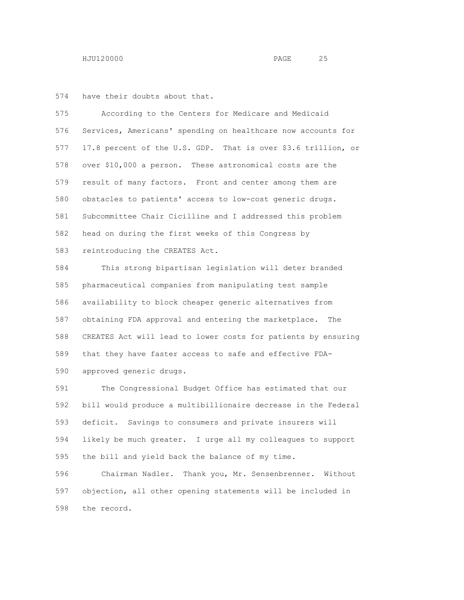have their doubts about that.

 According to the Centers for Medicare and Medicaid Services, Americans' spending on healthcare now accounts for 17.8 percent of the U.S. GDP. That is over \$3.6 trillion, or over \$10,000 a person. These astronomical costs are the result of many factors. Front and center among them are obstacles to patients' access to low-cost generic drugs. Subcommittee Chair Cicilline and I addressed this problem head on during the first weeks of this Congress by reintroducing the CREATES Act.

 This strong bipartisan legislation will deter branded pharmaceutical companies from manipulating test sample availability to block cheaper generic alternatives from obtaining FDA approval and entering the marketplace. The CREATES Act will lead to lower costs for patients by ensuring that they have faster access to safe and effective FDA-approved generic drugs.

 The Congressional Budget Office has estimated that our bill would produce a multibillionaire decrease in the Federal deficit. Savings to consumers and private insurers will likely be much greater. I urge all my colleagues to support the bill and yield back the balance of my time.

 Chairman Nadler. Thank you, Mr. Sensenbrenner. Without objection, all other opening statements will be included in the record.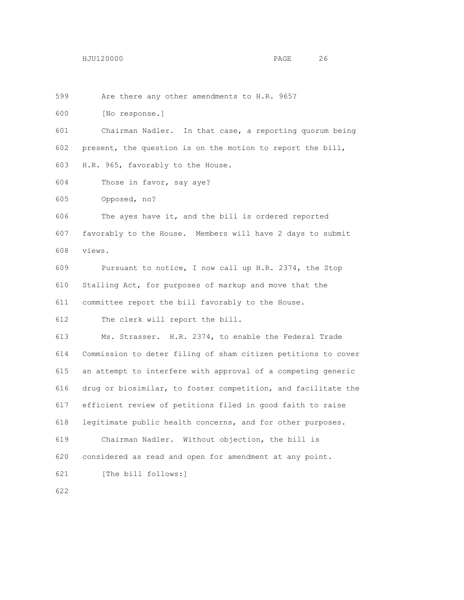Are there any other amendments to H.R. 965?

[No response.]

 Chairman Nadler. In that case, a reporting quorum being present, the question is on the motion to report the bill, H.R. 965, favorably to the House.

Those in favor, say aye?

Opposed, no?

 The ayes have it, and the bill is ordered reported favorably to the House. Members will have 2 days to submit views.

 Pursuant to notice, I now call up H.R. 2374, the Stop Stalling Act, for purposes of markup and move that the committee report the bill favorably to the House.

The clerk will report the bill.

 Ms. Strasser. H.R. 2374, to enable the Federal Trade Commission to deter filing of sham citizen petitions to cover an attempt to interfere with approval of a competing generic drug or biosimilar, to foster competition, and facilitate the efficient review of petitions filed in good faith to raise legitimate public health concerns, and for other purposes. Chairman Nadler. Without objection, the bill is considered as read and open for amendment at any point.

[The bill follows:]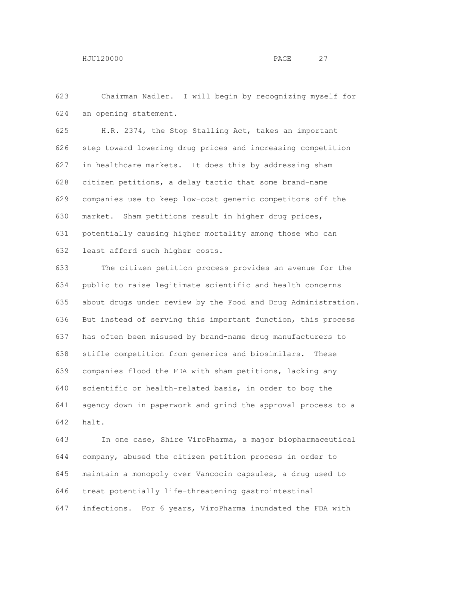Chairman Nadler. I will begin by recognizing myself for an opening statement.

 H.R. 2374, the Stop Stalling Act, takes an important step toward lowering drug prices and increasing competition in healthcare markets. It does this by addressing sham citizen petitions, a delay tactic that some brand-name companies use to keep low-cost generic competitors off the market. Sham petitions result in higher drug prices, potentially causing higher mortality among those who can least afford such higher costs.

 The citizen petition process provides an avenue for the public to raise legitimate scientific and health concerns about drugs under review by the Food and Drug Administration. But instead of serving this important function, this process has often been misused by brand-name drug manufacturers to stifle competition from generics and biosimilars. These companies flood the FDA with sham petitions, lacking any scientific or health-related basis, in order to bog the agency down in paperwork and grind the approval process to a halt.

 In one case, Shire ViroPharma, a major biopharmaceutical company, abused the citizen petition process in order to maintain a monopoly over Vancocin capsules, a drug used to treat potentially life-threatening gastrointestinal infections. For 6 years, ViroPharma inundated the FDA with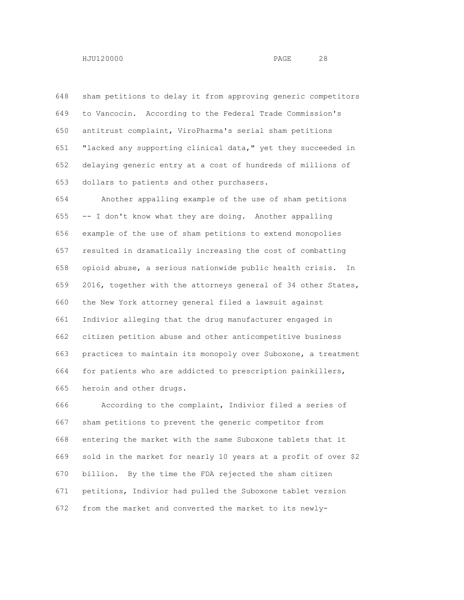sham petitions to delay it from approving generic competitors to Vancocin. According to the Federal Trade Commission's antitrust complaint, ViroPharma's serial sham petitions "lacked any supporting clinical data," yet they succeeded in delaying generic entry at a cost of hundreds of millions of

dollars to patients and other purchasers.

 Another appalling example of the use of sham petitions -- I don't know what they are doing. Another appalling example of the use of sham petitions to extend monopolies resulted in dramatically increasing the cost of combatting opioid abuse, a serious nationwide public health crisis. In 2016, together with the attorneys general of 34 other States, the New York attorney general filed a lawsuit against Indivior alleging that the drug manufacturer engaged in citizen petition abuse and other anticompetitive business practices to maintain its monopoly over Suboxone, a treatment for patients who are addicted to prescription painkillers, heroin and other drugs.

 According to the complaint, Indivior filed a series of sham petitions to prevent the generic competitor from entering the market with the same Suboxone tablets that it sold in the market for nearly 10 years at a profit of over \$2 billion. By the time the FDA rejected the sham citizen petitions, Indivior had pulled the Suboxone tablet version from the market and converted the market to its newly-

HJU120000 PAGE 28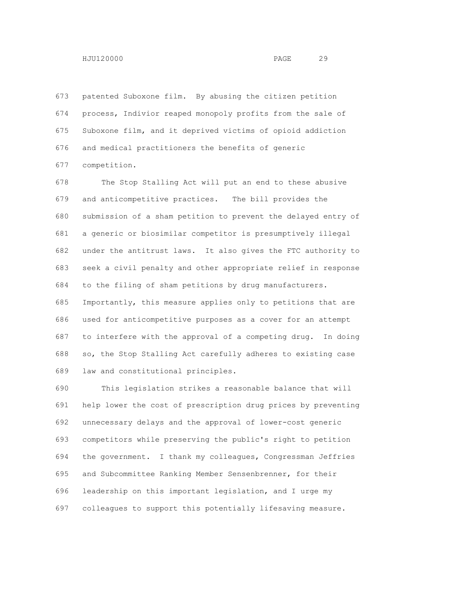patented Suboxone film. By abusing the citizen petition process, Indivior reaped monopoly profits from the sale of Suboxone film, and it deprived victims of opioid addiction and medical practitioners the benefits of generic

competition.

 The Stop Stalling Act will put an end to these abusive and anticompetitive practices. The bill provides the submission of a sham petition to prevent the delayed entry of a generic or biosimilar competitor is presumptively illegal under the antitrust laws. It also gives the FTC authority to seek a civil penalty and other appropriate relief in response to the filing of sham petitions by drug manufacturers. Importantly, this measure applies only to petitions that are used for anticompetitive purposes as a cover for an attempt to interfere with the approval of a competing drug. In doing so, the Stop Stalling Act carefully adheres to existing case law and constitutional principles.

 This legislation strikes a reasonable balance that will help lower the cost of prescription drug prices by preventing unnecessary delays and the approval of lower-cost generic competitors while preserving the public's right to petition the government. I thank my colleagues, Congressman Jeffries and Subcommittee Ranking Member Sensenbrenner, for their leadership on this important legislation, and I urge my colleagues to support this potentially lifesaving measure.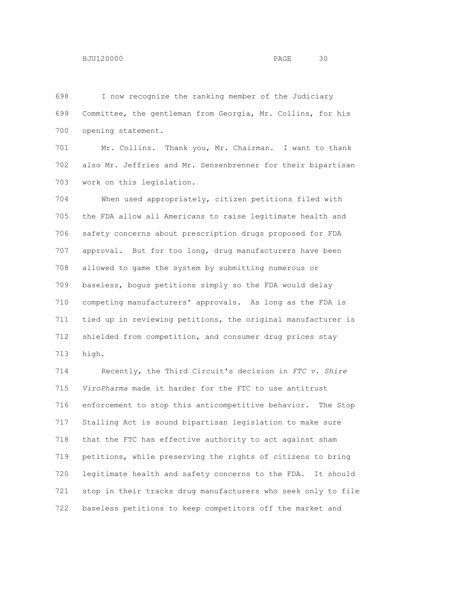I now recognize the ranking member of the Judiciary Committee, the gentleman from Georgia, Mr. Collins, for his opening statement.

 Mr. Collins. Thank you, Mr. Chairman. I want to thank also Mr. Jeffries and Mr. Sensenbrenner for their bipartisan work on this legislation.

 When used appropriately, citizen petitions filed with the FDA allow all Americans to raise legitimate health and safety concerns about prescription drugs proposed for FDA approval. But for too long, drug manufacturers have been allowed to game the system by submitting numerous or baseless, bogus petitions simply so the FDA would delay competing manufacturers' approvals. As long as the FDA is tied up in reviewing petitions, the original manufacturer is shielded from competition, and consumer drug prices stay high.

 Recently, the Third Circuit's decision in *FTC v. Shire ViroPharma* made it harder for the FTC to use antitrust enforcement to stop this anticompetitive behavior. The Stop Stalling Act is sound bipartisan legislation to make sure that the FTC has effective authority to act against sham petitions, while preserving the rights of citizens to bring legitimate health and safety concerns to the FDA. It should stop in their tracks drug manufacturers who seek only to file baseless petitions to keep competitors off the market and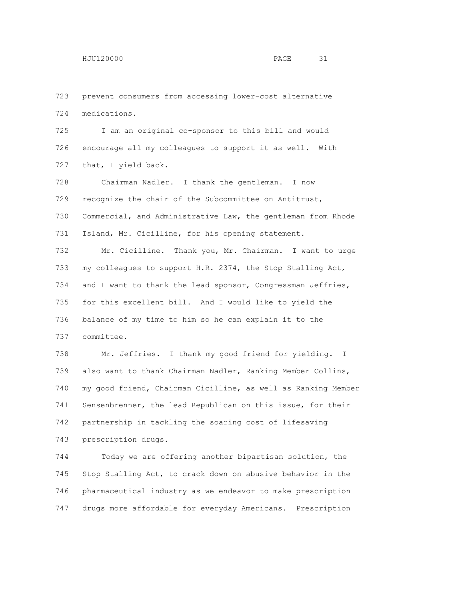prevent consumers from accessing lower-cost alternative medications.

 I am an original co-sponsor to this bill and would encourage all my colleagues to support it as well. With 727 that, I yield back.

 Chairman Nadler. I thank the gentleman. I now recognize the chair of the Subcommittee on Antitrust, Commercial, and Administrative Law, the gentleman from Rhode Island, Mr. Cicilline, for his opening statement.

 Mr. Cicilline. Thank you, Mr. Chairman. I want to urge my colleagues to support H.R. 2374, the Stop Stalling Act, 734 and I want to thank the lead sponsor, Congressman Jeffries, for this excellent bill. And I would like to yield the balance of my time to him so he can explain it to the committee.

 Mr. Jeffries. I thank my good friend for yielding. I also want to thank Chairman Nadler, Ranking Member Collins, my good friend, Chairman Cicilline, as well as Ranking Member Sensenbrenner, the lead Republican on this issue, for their partnership in tackling the soaring cost of lifesaving prescription drugs.

 Today we are offering another bipartisan solution, the Stop Stalling Act, to crack down on abusive behavior in the pharmaceutical industry as we endeavor to make prescription drugs more affordable for everyday Americans. Prescription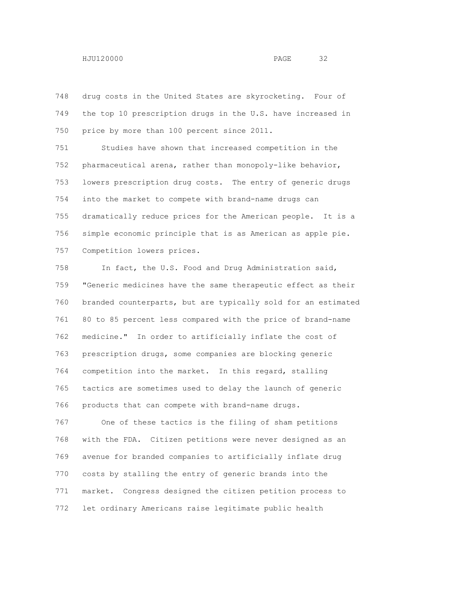drug costs in the United States are skyrocketing. Four of the top 10 prescription drugs in the U.S. have increased in price by more than 100 percent since 2011.

 Studies have shown that increased competition in the pharmaceutical arena, rather than monopoly-like behavior, lowers prescription drug costs. The entry of generic drugs into the market to compete with brand-name drugs can dramatically reduce prices for the American people. It is a simple economic principle that is as American as apple pie. Competition lowers prices.

 In fact, the U.S. Food and Drug Administration said, "Generic medicines have the same therapeutic effect as their branded counterparts, but are typically sold for an estimated 80 to 85 percent less compared with the price of brand-name medicine." In order to artificially inflate the cost of prescription drugs, some companies are blocking generic competition into the market. In this regard, stalling tactics are sometimes used to delay the launch of generic products that can compete with brand-name drugs.

 One of these tactics is the filing of sham petitions with the FDA. Citizen petitions were never designed as an avenue for branded companies to artificially inflate drug costs by stalling the entry of generic brands into the market. Congress designed the citizen petition process to let ordinary Americans raise legitimate public health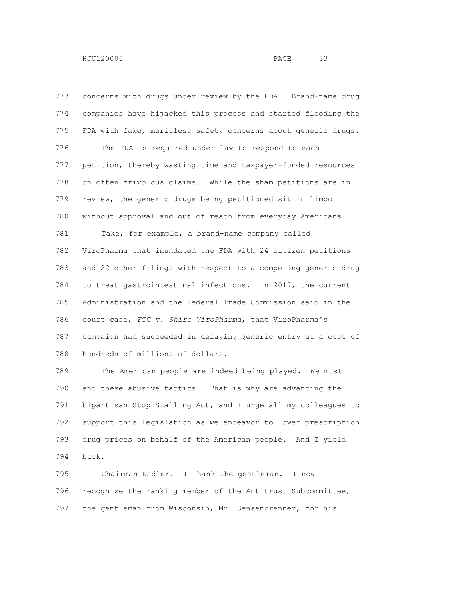concerns with drugs under review by the FDA. Brand-name drug companies have hijacked this process and started flooding the FDA with fake, meritless safety concerns about generic drugs. The FDA is required under law to respond to each petition, thereby wasting time and taxpayer-funded resources on often frivolous claims. While the sham petitions are in review, the generic drugs being petitioned sit in limbo without approval and out of reach from everyday Americans. Take, for example, a brand-name company called ViroPharma that inundated the FDA with 24 citizen petitions and 22 other filings with respect to a competing generic drug to treat gastrointestinal infections. In 2017, the current Administration and the Federal Trade Commission said in the court case, *FTC v. Shire ViroPharma*, that ViroPharma's campaign had succeeded in delaying generic entry at a cost of hundreds of millions of dollars.

 The American people are indeed being played. We must end these abusive tactics. That is why are advancing the bipartisan Stop Stalling Act, and I urge all my colleagues to support this legislation as we endeavor to lower prescription drug prices on behalf of the American people. And I yield back.

 Chairman Nadler. I thank the gentleman. I now recognize the ranking member of the Antitrust Subcommittee, the gentleman from Wisconsin, Mr. Sensenbrenner, for his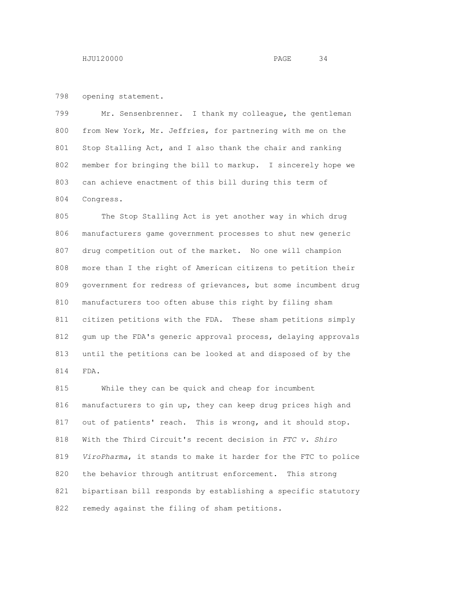opening statement.

 Mr. Sensenbrenner. I thank my colleague, the gentleman from New York, Mr. Jeffries, for partnering with me on the Stop Stalling Act, and I also thank the chair and ranking member for bringing the bill to markup. I sincerely hope we can achieve enactment of this bill during this term of Congress.

 The Stop Stalling Act is yet another way in which drug manufacturers game government processes to shut new generic drug competition out of the market. No one will champion more than I the right of American citizens to petition their government for redress of grievances, but some incumbent drug manufacturers too often abuse this right by filing sham citizen petitions with the FDA. These sham petitions simply gum up the FDA's generic approval process, delaying approvals until the petitions can be looked at and disposed of by the FDA.

 While they can be quick and cheap for incumbent manufacturers to gin up, they can keep drug prices high and out of patients' reach. This is wrong, and it should stop. With the Third Circuit's recent decision in *FTC v. Shiro ViroPharma*, it stands to make it harder for the FTC to police the behavior through antitrust enforcement. This strong bipartisan bill responds by establishing a specific statutory remedy against the filing of sham petitions.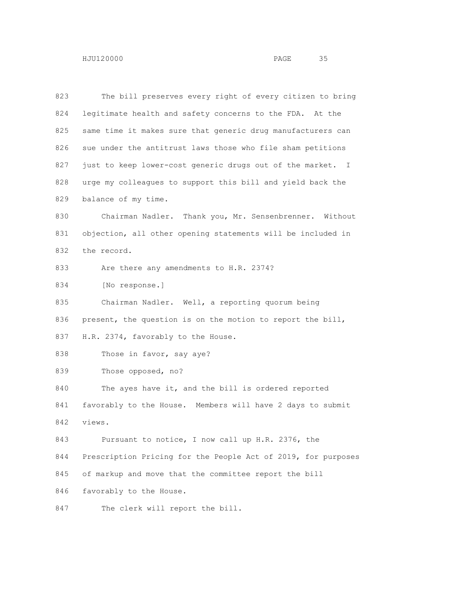The bill preserves every right of every citizen to bring legitimate health and safety concerns to the FDA. At the same time it makes sure that generic drug manufacturers can sue under the antitrust laws those who file sham petitions 827 just to keep lower-cost generic drugs out of the market. I urge my colleagues to support this bill and yield back the balance of my time. Chairman Nadler. Thank you, Mr. Sensenbrenner. Without objection, all other opening statements will be included in the record. 833 Are there any amendments to H.R. 2374? [No response.] Chairman Nadler. Well, a reporting quorum being present, the question is on the motion to report the bill, 837 H.R. 2374, favorably to the House. 838 Those in favor, say aye? Those opposed, no? 840 The ayes have it, and the bill is ordered reported favorably to the House. Members will have 2 days to submit views. Pursuant to notice, I now call up H.R. 2376, the Prescription Pricing for the People Act of 2019, for purposes of markup and move that the committee report the bill favorably to the House. 847 The clerk will report the bill.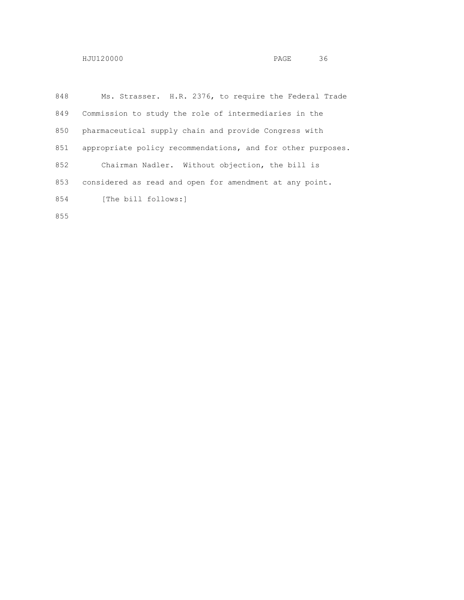| 848 | Ms. Strasser. H.R. 2376, to require the Federal Trade       |
|-----|-------------------------------------------------------------|
| 849 | Commission to study the role of intermediaries in the       |
| 850 | pharmaceutical supply chain and provide Congress with       |
| 851 | appropriate policy recommendations, and for other purposes. |
| 852 | Chairman Nadler. Without objection, the bill is             |
| 853 | considered as read and open for amendment at any point.     |
| 854 | [The bill follows:]                                         |
|     |                                                             |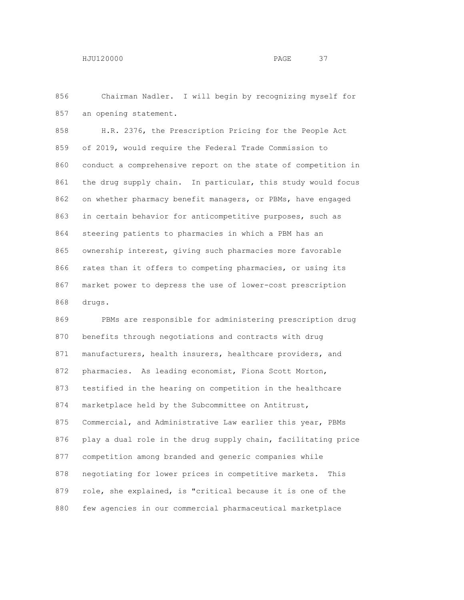Chairman Nadler. I will begin by recognizing myself for an opening statement.

 H.R. 2376, the Prescription Pricing for the People Act of 2019, would require the Federal Trade Commission to conduct a comprehensive report on the state of competition in the drug supply chain. In particular, this study would focus on whether pharmacy benefit managers, or PBMs, have engaged in certain behavior for anticompetitive purposes, such as steering patients to pharmacies in which a PBM has an ownership interest, giving such pharmacies more favorable rates than it offers to competing pharmacies, or using its market power to depress the use of lower-cost prescription drugs.

 PBMs are responsible for administering prescription drug benefits through negotiations and contracts with drug 871 manufacturers, health insurers, healthcare providers, and pharmacies. As leading economist, Fiona Scott Morton, testified in the hearing on competition in the healthcare 874 marketplace held by the Subcommittee on Antitrust, Commercial, and Administrative Law earlier this year, PBMs play a dual role in the drug supply chain, facilitating price competition among branded and generic companies while negotiating for lower prices in competitive markets. This role, she explained, is "critical because it is one of the few agencies in our commercial pharmaceutical marketplace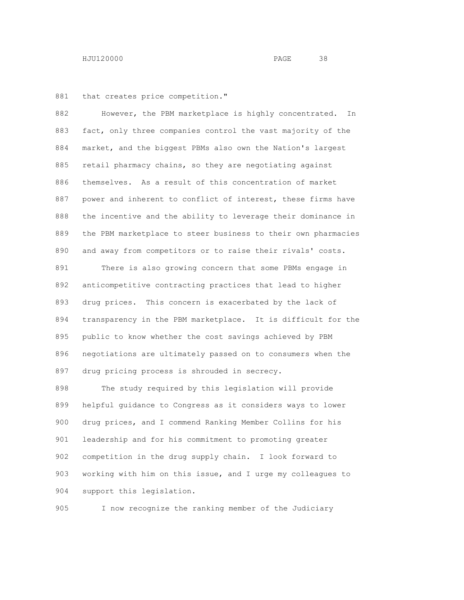881 that creates price competition."

 However, the PBM marketplace is highly concentrated. In fact, only three companies control the vast majority of the market, and the biggest PBMs also own the Nation's largest 885 retail pharmacy chains, so they are negotiating against themselves. As a result of this concentration of market power and inherent to conflict of interest, these firms have the incentive and the ability to leverage their dominance in the PBM marketplace to steer business to their own pharmacies and away from competitors or to raise their rivals' costs.

 There is also growing concern that some PBMs engage in anticompetitive contracting practices that lead to higher drug prices. This concern is exacerbated by the lack of transparency in the PBM marketplace. It is difficult for the public to know whether the cost savings achieved by PBM negotiations are ultimately passed on to consumers when the drug pricing process is shrouded in secrecy.

 The study required by this legislation will provide helpful guidance to Congress as it considers ways to lower drug prices, and I commend Ranking Member Collins for his leadership and for his commitment to promoting greater competition in the drug supply chain. I look forward to working with him on this issue, and I urge my colleagues to support this legislation.

I now recognize the ranking member of the Judiciary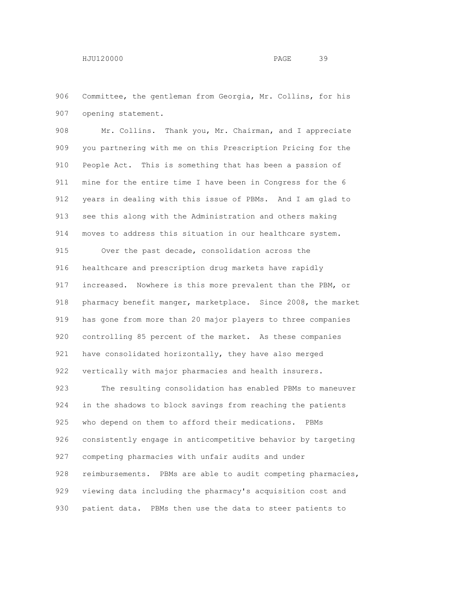Committee, the gentleman from Georgia, Mr. Collins, for his opening statement.

 Mr. Collins. Thank you, Mr. Chairman, and I appreciate you partnering with me on this Prescription Pricing for the People Act. This is something that has been a passion of mine for the entire time I have been in Congress for the 6 years in dealing with this issue of PBMs. And I am glad to see this along with the Administration and others making moves to address this situation in our healthcare system.

 Over the past decade, consolidation across the healthcare and prescription drug markets have rapidly increased. Nowhere is this more prevalent than the PBM, or pharmacy benefit manger, marketplace. Since 2008, the market has gone from more than 20 major players to three companies controlling 85 percent of the market. As these companies have consolidated horizontally, they have also merged vertically with major pharmacies and health insurers.

 The resulting consolidation has enabled PBMs to maneuver in the shadows to block savings from reaching the patients who depend on them to afford their medications. PBMs consistently engage in anticompetitive behavior by targeting competing pharmacies with unfair audits and under reimbursements. PBMs are able to audit competing pharmacies, viewing data including the pharmacy's acquisition cost and patient data. PBMs then use the data to steer patients to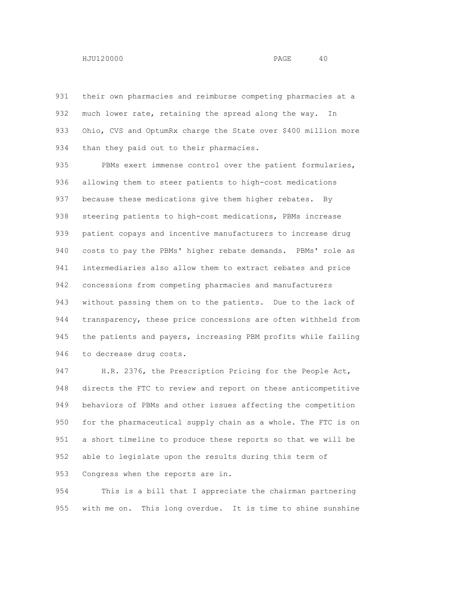their own pharmacies and reimburse competing pharmacies at a much lower rate, retaining the spread along the way. In 933 Ohio, CVS and OptumRx charge the State over \$400 million more 934 than they paid out to their pharmacies.

 PBMs exert immense control over the patient formularies, allowing them to steer patients to high-cost medications 937 because these medications give them higher rebates. By steering patients to high-cost medications, PBMs increase patient copays and incentive manufacturers to increase drug costs to pay the PBMs' higher rebate demands. PBMs' role as intermediaries also allow them to extract rebates and price concessions from competing pharmacies and manufacturers without passing them on to the patients. Due to the lack of transparency, these price concessions are often withheld from the patients and payers, increasing PBM profits while failing to decrease drug costs.

 H.R. 2376, the Prescription Pricing for the People Act, directs the FTC to review and report on these anticompetitive behaviors of PBMs and other issues affecting the competition for the pharmaceutical supply chain as a whole. The FTC is on a short timeline to produce these reports so that we will be able to legislate upon the results during this term of Congress when the reports are in.

 This is a bill that I appreciate the chairman partnering with me on. This long overdue. It is time to shine sunshine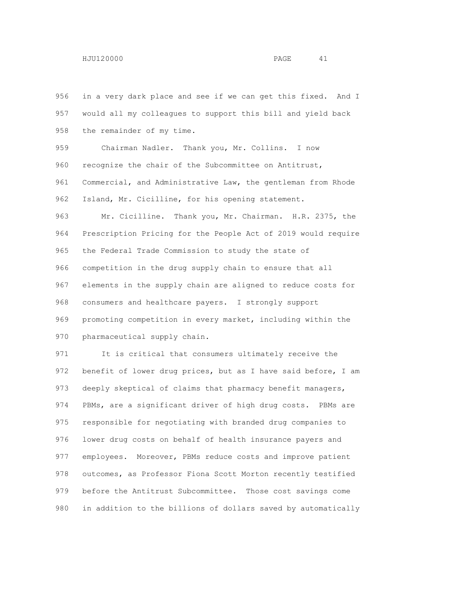in a very dark place and see if we can get this fixed. And I would all my colleagues to support this bill and yield back the remainder of my time. Chairman Nadler. Thank you, Mr. Collins. I now 960 recognize the chair of the Subcommittee on Antitrust, Commercial, and Administrative Law, the gentleman from Rhode Island, Mr. Cicilline, for his opening statement. Mr. Cicilline. Thank you, Mr. Chairman. H.R. 2375, the Prescription Pricing for the People Act of 2019 would require the Federal Trade Commission to study the state of competition in the drug supply chain to ensure that all elements in the supply chain are aligned to reduce costs for consumers and healthcare payers. I strongly support promoting competition in every market, including within the pharmaceutical supply chain. It is critical that consumers ultimately receive the

 benefit of lower drug prices, but as I have said before, I am 973 deeply skeptical of claims that pharmacy benefit managers, PBMs, are a significant driver of high drug costs. PBMs are responsible for negotiating with branded drug companies to lower drug costs on behalf of health insurance payers and employees. Moreover, PBMs reduce costs and improve patient outcomes, as Professor Fiona Scott Morton recently testified before the Antitrust Subcommittee. Those cost savings come in addition to the billions of dollars saved by automatically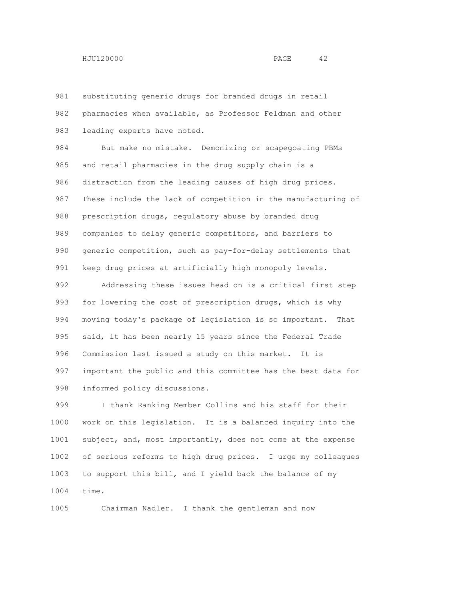substituting generic drugs for branded drugs in retail pharmacies when available, as Professor Feldman and other leading experts have noted.

 But make no mistake. Demonizing or scapegoating PBMs and retail pharmacies in the drug supply chain is a distraction from the leading causes of high drug prices. These include the lack of competition in the manufacturing of prescription drugs, regulatory abuse by branded drug companies to delay generic competitors, and barriers to generic competition, such as pay-for-delay settlements that keep drug prices at artificially high monopoly levels.

 Addressing these issues head on is a critical first step for lowering the cost of prescription drugs, which is why moving today's package of legislation is so important. That said, it has been nearly 15 years since the Federal Trade Commission last issued a study on this market. It is important the public and this committee has the best data for informed policy discussions.

 I thank Ranking Member Collins and his staff for their work on this legislation. It is a balanced inquiry into the subject, and, most importantly, does not come at the expense of serious reforms to high drug prices. I urge my colleagues to support this bill, and I yield back the balance of my time.

Chairman Nadler. I thank the gentleman and now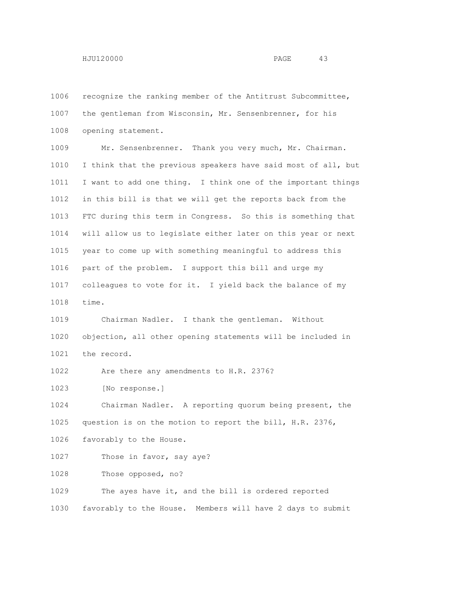recognize the ranking member of the Antitrust Subcommittee, the gentleman from Wisconsin, Mr. Sensenbrenner, for his opening statement. Mr. Sensenbrenner. Thank you very much, Mr. Chairman. I think that the previous speakers have said most of all, but I want to add one thing. I think one of the important things in this bill is that we will get the reports back from the FTC during this term in Congress. So this is something that will allow us to legislate either later on this year or next year to come up with something meaningful to address this part of the problem. I support this bill and urge my colleagues to vote for it. I yield back the balance of my time. Chairman Nadler. I thank the gentleman. Without objection, all other opening statements will be included in the record. Are there any amendments to H.R. 2376? [No response.] Chairman Nadler. A reporting quorum being present, the question is on the motion to report the bill, H.R. 2376, favorably to the House. 1027 Those in favor, say aye? Those opposed, no? The ayes have it, and the bill is ordered reported favorably to the House. Members will have 2 days to submit